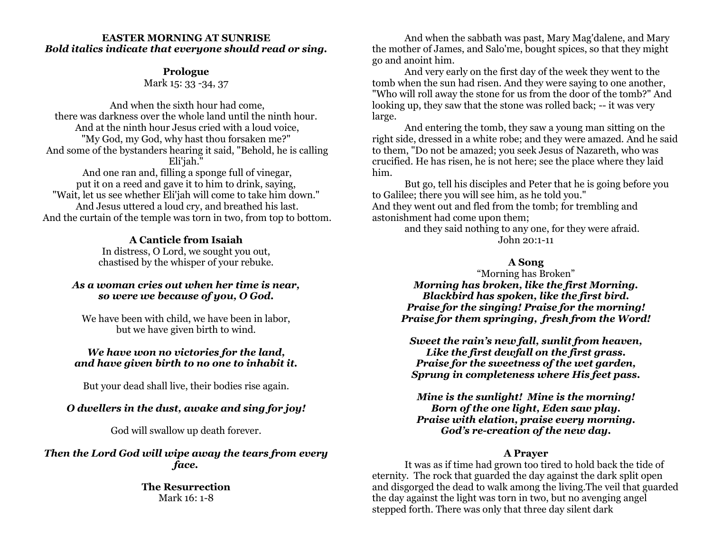#### **EASTER MORNING AT SUNRISE** *Bold italics indicate that everyone should read or sing.*

# **Prologue**

Mark 15: 33 -34, 37

And when the sixth hour had come, there was darkness over the whole land until the ninth hour. And at the ninth hour Jesus cried with a loud voice, "My God, my God, why hast thou forsaken me?" And some of the bystanders hearing it said, "Behold, he is calling Eli'iah."

And one ran and, filling a sponge full of vinegar, put it on a reed and gave it to him to drink, saying, "Wait, let us see whether Eli'jah will come to take him down." And Jesus uttered a loud cry, and breathed his last. And the curtain of the temple was torn in two, from top to bottom.

# **A Canticle from Isaiah**

In distress, O Lord, we sought you out, chastised by the whisper of your rebuke.

### *As a woman cries out when her time is near, so were we because of you, O God.*

We have been with child, we have been in labor, but we have given birth to wind.

### *We have won no victories for the land, and have given birth to no one to inhabit it.*

But your dead shall live, their bodies rise again.

# *O dwellers in the dust, awake and sing for joy!*

God will swallow up death forever.

*Then the Lord God will wipe away the tears from every face.*

> **The Resurrection** Mark 16: 1-8

And when the sabbath was past, Mary Mag'dalene, and Mary the mother of James, and Salo'me, bought spices, so that they might go and anoint him.

And very early on the first day of the week they went to the tomb when the sun had risen. And they were saying to one another, "Who will roll away the stone for us from the door of the tomb?" And looking up, they saw that the stone was rolled back; -- it was very large.

And entering the tomb, they saw a young man sitting on the right side, dressed in a white robe; and they were amazed. And he said to them, "Do not be amazed; you seek Jesus of Nazareth, who was crucified. He has risen, he is not here; see the place where they laid him.

But go, tell his disciples and Peter that he is going before you to Galilee; there you will see him, as he told you." And they went out and fled from the tomb; for trembling and astonishment had come upon them;

and they said nothing to any one, for they were afraid. John 20:1-11

# **A Song**

"Morning has Broken" *Morning has broken, like the first Morning. Blackbird has spoken, like the first bird. Praise for the singing! Praise for the morning! Praise for them springing, fresh from the Word!*

*Sweet the rain's new fall, sunlit from heaven, Like the first dewfall on the first grass. Praise for the sweetness of the wet garden, Sprung in completeness where His feet pass.*

*Mine is the sunlight! Mine is the morning! Born of the one light, Eden saw play. Praise with elation, praise every morning. God's re-creation of the new day.*

### **A Prayer**

It was as if time had grown too tired to hold back the tide of eternity. The rock that guarded the day against the dark split open and disgorged the dead to walk among the living.The veil that guarded the day against the light was torn in two, but no avenging angel stepped forth. There was only that three day silent dark